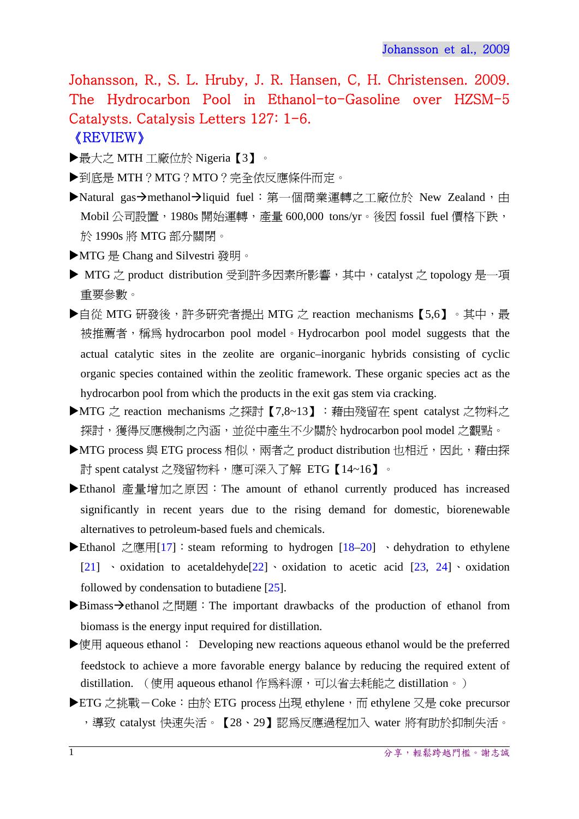Johansson, R., S. L. Hruby, J. R. Hansen, C, H. Christensen. 2009. The Hydrocarbon Pool in Ethanol-to-Gasoline over HZSM-5 Catalysts. Catalysis Letters 127: 1-6. 《REVIEW》

- ▶最大之 MTH 工廠位於 Nigeria【3】。
- ▶到底是 MTH?MTG?MTO?完全依反應條件而定。
- ▶Natural gas→methanol→liquid fuel: 第一個商業運轉之工廠位於 New Zealand,由 Mobil 公司設置,1980s 開始運轉,產量 600,000 tons/yr。後因 fossil fuel 價格下跌, 於 1990s 將 MTG 部分關閉。
- ▶MTG 是 Chang and Silvestri 發明。
- ▶ MTG 之 product distribution 受到許多因素所影響, 其中, catalyst 之 topology 是一項 重要參數。
- ▶自從 MTG 研發後,許多研究者提出 MTG 之 reaction mechanisms 【5,6】。其中,最 被推薦者,稱為 hydrocarbon pool model。Hydrocarbon pool model suggests that the actual catalytic sites in the zeolite are organic–inorganic hybrids consisting of cyclic organic species contained within the zeolitic framework. These organic species act as the hydrocarbon pool from which the products in the exit gas stem via cracking.
- ▶MTG 之 reaction mechanisms 之探討【7,8~13】: 藉由殘留在 spent catalyst 之物料之 探討,獲得反應機制之內涵,並從中產生不少關於 hydrocarbon pool model 之觀點。
- ▶MTG process 與 ETG process 相似,兩者之 product distribution 也相近,因此,藉由探 討 spent catalyst 之殘留物料,應可深入了解 ETG【14~16】。
- ▶ Ethanol 產量增加之原因: The amount of ethanol currently produced has increased significantly in recent years due to the rising demand for domestic, biorenewable alternatives to petroleum-based fuels and chemicals.
- ▶ Ethanol 之應用[17]: steam reforming to hydrogen  $[18–20]$  · dehydration to ethylene [21]  $\cdot$  oxidation to acetaldehyde[22]  $\cdot$  oxidation to acetic acid [23, 24]  $\cdot$  oxidation followed by condensation to butadiene [25].
- ▶Bimass→ethanol 之問題: The important drawbacks of the production of ethanol from biomass is the energy input required for distillation.
- ▶使用 aqueous ethanol: Developing new reactions aqueous ethanol would be the preferred feedstock to achieve a more favorable energy balance by reducing the required extent of distillation. (使用 aqueous ethanol 作為料源,可以省去耗能之 distillation。)
- ▶ ETG 之挑戰-Coke: 由於 ETG process 出現 ethylene, 而 ethylene 又是 coke precursor ,導致 catalyst 快速失活。【28、29】認為反應過程加入 water 將有助於抑制失活。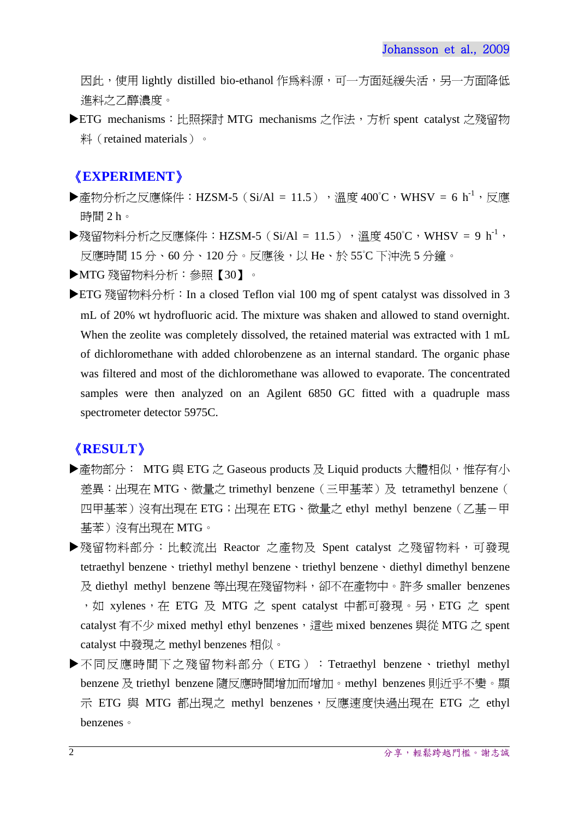因此,使用 lightly distilled bio-ethanol作為料源,可一方面延緩失活,另一方面降低 進料之乙醇濃度。

▶ETG mechanisms:比照探討 MTG mechanisms 之作法,方析 spent catalyst 之殘留物 料 (retained materials) 。

## 《**EXPERIMENT**》

- ▶產物分析之反應條件:HZSM-5(Si/Al = 11.5),溫度 400℃,WHSV = 6 h<sup>-1</sup>,反應 時間 2 h。
- ▶殘留物料分析之反應條件:HZSM-5(Si/Al = 11.5),溫度 450℃,WHSV = 9 h<sup>-1</sup>, 反應時間 15 分、60 分、120 分。反應後,以 He、於 55°C 下沖洗 5 分鐘。
- MTG 殘留物料分析:參照【30】。
- ▶ ETG 殘留物料分析: In a closed Teflon vial 100 mg of spent catalyst was dissolved in 3 mL of 20% wt hydrofluoric acid. The mixture was shaken and allowed to stand overnight. When the zeolite was completely dissolved, the retained material was extracted with 1 mL of dichloromethane with added chlorobenzene as an internal standard. The organic phase was filtered and most of the dichloromethane was allowed to evaporate. The concentrated samples were then analyzed on an Agilent 6850 GC fitted with a quadruple mass spectrometer detector 5975C.

## 《**RESULT**》

- ▶產物部分: MTG 與 ETG 之 Gaseous products 及 Liquid products 大體相似,惟存有小 差異:出現在 MTG、微量之 trimethyl benzene(三甲基苯)及 tetramethyl benzene( 四甲基苯)沒有出現在 ETG;出現在 ETG、微量之 ethyl methyl benzene (乙基-甲 基苯)沒有出現在 MTG。
- ▶殘留物料部分:比較流出 Reactor 之產物及 Spent catalyst 之殘留物料,可發現 tetraethyl benzene、triethyl methyl benzene、triethyl benzene、diethyl dimethyl benzene 及 diethyl methyl benzene 等出現在殘留物料,卻不在產物中。許多 smaller benzenes ,如 xylenes,在 ETG 及 MTG 之 spent catalyst 中都可發現。另,ETG 之 spent catalyst 有不少 mixed methyl ethyl benzenes, 這些 mixed benzenes 與從 MTG  $\zeta$  spent catalyst 中發現之 methyl benzenes 相似。
- ▶不同反應時間下之殘留物料部分 (ETG): Tetraethyl benzene、triethyl methyl benzene 及 triethyl benzene 隨反應時間增加而增加。methyl benzenes 則近乎不變。顯 示 ETG 與 MTG 都出現之 methyl benzenes,反應速度快過出現在 ETG 之 ethyl benzenes。